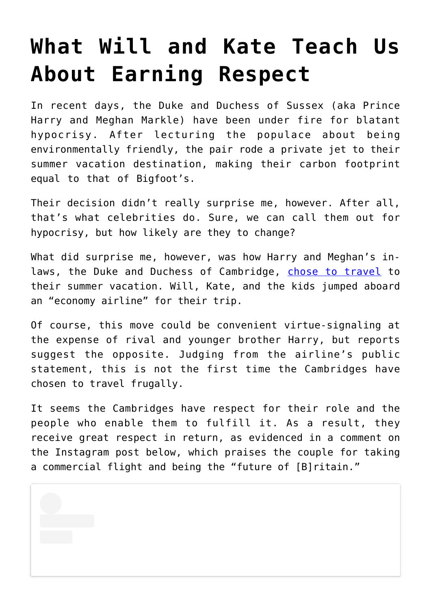## **[What Will and Kate Teach Us](https://intellectualtakeout.org/2019/08/what-will-and-kate-teach-us-about-earning-respect/) [About Earning Respect](https://intellectualtakeout.org/2019/08/what-will-and-kate-teach-us-about-earning-respect/)**

In recent days, the Duke and Duchess of Sussex (aka Prince Harry and Meghan Markle) have been under fire for blatant hypocrisy. After lecturing the populace about being environmentally friendly, the pair rode a private jet to their summer vacation destination, making their carbon footprint equal to that of Bigfoot's.

Their decision didn't really surprise me, however. After all, that's what celebrities do. Sure, we can call them out for hypocrisy, but how likely are they to change?

What did surprise me, however, was how Harry and Meghan's inlaws, the Duke and Duchess of Cambridge, [chose to travel](https://edition.cnn.com/2019/08/23/world/prince-william-budget-airline-intl-scli/index.html?utm_medium=social&utm_term=link&utm_content=2019-08-23T11%3A01%3A53&utm_source=fbCNN&fbclid=IwAR2yaj2pilDIh3PdEl2ncGtXctX2FRBnn6aQRTlR4NGQsGLB2NErCQ5psTI&fbclid=IwAR1UfA_gqo0u4UuW0KSYXfI7zm8Y0Hrw_cxN9FY7GbgWh15yCsfKf-e5FFc) to their summer vacation. Will, Kate, and the kids jumped aboard an "economy airline" for their trip.

Of course, this move could be convenient virtue-signaling at the expense of rival and younger brother Harry, but reports suggest the opposite. Judging from the airline's public statement, this is not the first time the Cambridges have chosen to travel frugally.

It seems the Cambridges have respect for their role and the people who enable them to fulfill it. As a result, they receive great respect in return, as evidenced in a comment on the Instagram post below, which praises the couple for taking a commercial flight and being the "future of [B]ritain."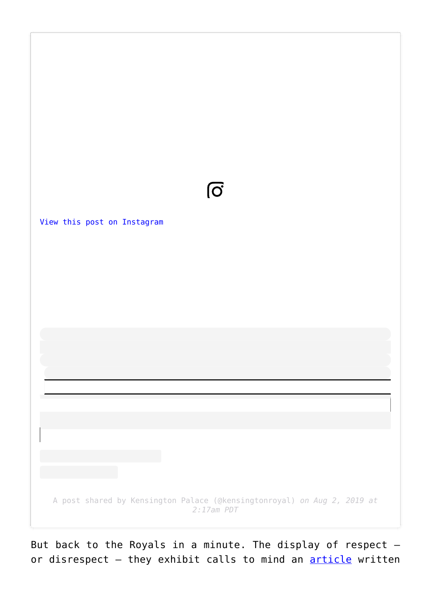

But back to the Royals in a minute. The display of respect  $$ or disrespect - they exhibit calls to mind an **[article](https://www.wsj.com/articles/mind-your-manners-says-edith-wharton-11566510905?cx_testId=30&cx_testVariant=cx_1&cx_artPos=0#cxrecs_s)** written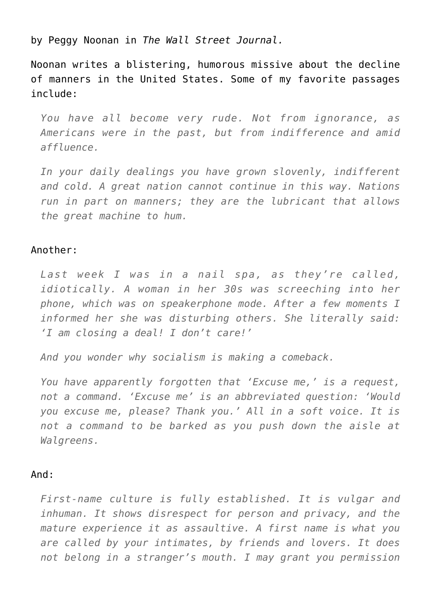by Peggy Noonan in *The Wall Street Journal.*

Noonan writes a blistering, humorous missive about the decline of manners in the United States. Some of my favorite passages include:

*You have all become very rude. Not from ignorance, as Americans were in the past, but from indifference and amid affluence.*

*In your daily dealings you have grown slovenly, indifferent and cold. A great nation cannot continue in this way. Nations run in part on manners; they are the lubricant that allows the great machine to hum.*

## Another:

*Last week I was in a nail spa, as they're called, idiotically. A woman in her 30s was screeching into her phone, which was on speakerphone mode. After a few moments I informed her she was disturbing others. She literally said: 'I am closing a deal! I don't care!'*

*And you wonder why socialism is making a comeback.*

*You have apparently forgotten that 'Excuse me,' is a request, not a command. 'Excuse me' is an abbreviated question: 'Would you excuse me, please? Thank you.' All in a soft voice. It is not a command to be barked as you push down the aisle at Walgreens.*

## And:

*First-name culture is fully established. It is vulgar and inhuman. It shows disrespect for person and privacy, and the mature experience it as assaultive. A first name is what you are called by your intimates, by friends and lovers. It does not belong in a stranger's mouth. I may grant you permission*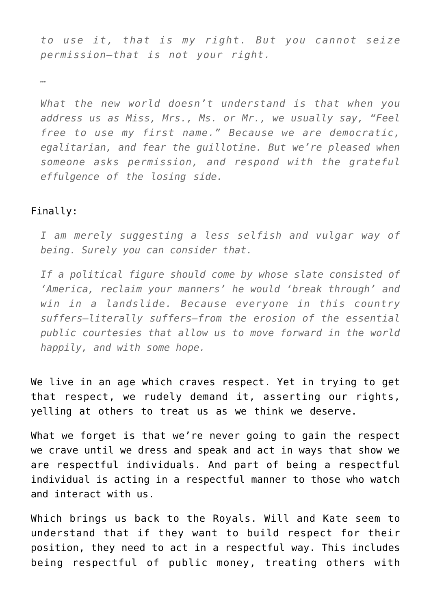*to use it, that is my right. But you cannot seize permission—that is not your right.*

*…*

*What the new world doesn't understand is that when you address us as Miss, Mrs., Ms. or Mr., we usually say, "Feel free to use my first name." Because we are democratic, egalitarian, and fear the guillotine. But we're pleased when someone asks permission, and respond with the grateful effulgence of the losing side.*

## Finally:

*I am merely suggesting a less selfish and vulgar way of being. Surely you can consider that.*

*If a political figure should come by whose slate consisted of 'America, reclaim your manners' he would 'break through' and win in a landslide. Because everyone in this country suffers—literally suffers—from the erosion of the essential public courtesies that allow us to move forward in the world happily, and with some hope.*

We live in an age which craves respect. Yet in trying to get that respect, we rudely demand it, asserting our rights, yelling at others to treat us as we think we deserve.

What we forget is that we're never going to gain the respect we crave until we dress and speak and act in ways that show we are respectful individuals. And part of being a respectful individual is acting in a respectful manner to those who watch and interact with us.

Which brings us back to the Royals. Will and Kate seem to understand that if they want to build respect for their position, they need to act in a respectful way. This includes being respectful of public money, treating others with